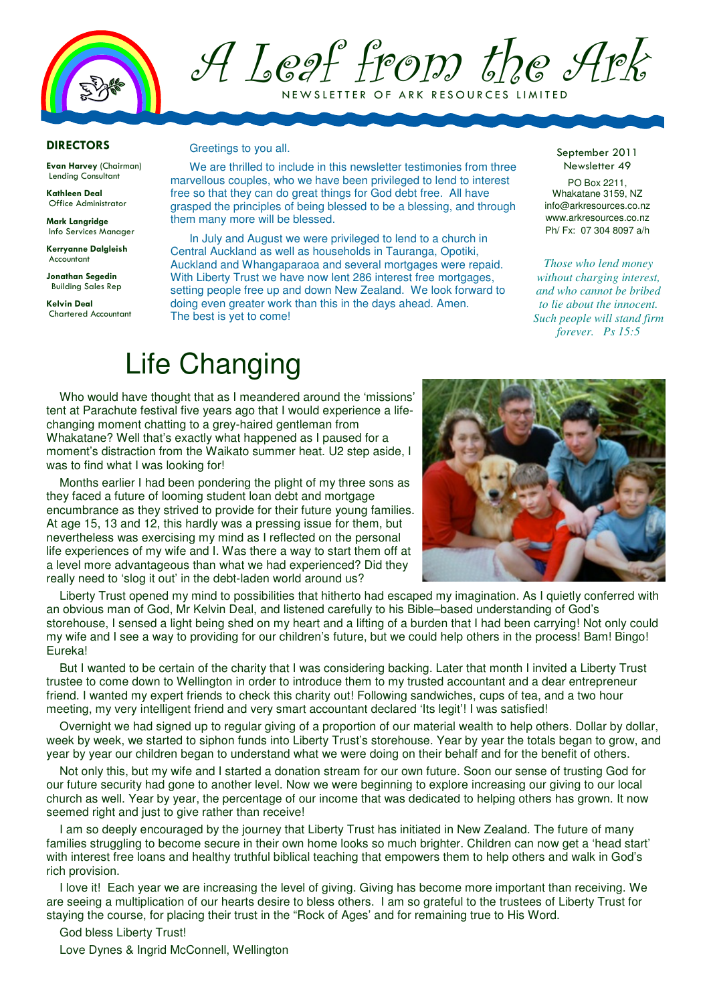

A Leaf from the Ark

NEW SLETTER OF ARK RESOURCES LIMITED

## DIRECTORS

Evan Harvey (Chairman) Lending Consultant

Kathleen Deal Office Administrator

Mark Langridge Info Services Manager

Kerryanne Dalgleish Accountant

Jonathan Segedin Building Sales Rep

Kelvin Deal Chartered Accountant

### Greetings to you all.

We are thrilled to include in this newsletter testimonies from three marvellous couples, who we have been privileged to lend to interest free so that they can do great things for God debt free. All have grasped the principles of being blessed to be a blessing, and through them many more will be blessed.

In July and August we were privileged to lend to a church in Central Auckland as well as households in Tauranga, Opotiki, Auckland and Whangaparaoa and several mortgages were repaid. With Liberty Trust we have now lent 286 interest free mortgages, setting people free up and down New Zealand. We look forward to doing even greater work than this in the days ahead. Amen. The best is yet to come!

#### September 2011 Newsletter 49

PO Box 2211, Whakatane 3159, NZ info@arkresources.co.nz www.arkresources.co.nz Ph/ Fx: 07 304 8097 a/h

*Those who lend money without charging interest, and who cannot be bribed to lie about the innocent. Such people will stand firm forever. Ps 15:5* 

# Life Changing

Who would have thought that as I meandered around the 'missions' tent at Parachute festival five years ago that I would experience a lifechanging moment chatting to a grey-haired gentleman from Whakatane? Well that's exactly what happened as I paused for a moment's distraction from the Waikato summer heat. U2 step aside, I was to find what I was looking for!

Months earlier I had been pondering the plight of my three sons as they faced a future of looming student loan debt and mortgage encumbrance as they strived to provide for their future young families. At age 15, 13 and 12, this hardly was a pressing issue for them, but nevertheless was exercising my mind as I reflected on the personal life experiences of my wife and I. Was there a way to start them off at a level more advantageous than what we had experienced? Did they really need to 'slog it out' in the debt-laden world around us?



Liberty Trust opened my mind to possibilities that hitherto had escaped my imagination. As I quietly conferred with an obvious man of God, Mr Kelvin Deal, and listened carefully to his Bible–based understanding of God's storehouse, I sensed a light being shed on my heart and a lifting of a burden that I had been carrying! Not only could my wife and I see a way to providing for our children's future, but we could help others in the process! Bam! Bingo! Eureka!

But I wanted to be certain of the charity that I was considering backing. Later that month I invited a Liberty Trust trustee to come down to Wellington in order to introduce them to my trusted accountant and a dear entrepreneur friend. I wanted my expert friends to check this charity out! Following sandwiches, cups of tea, and a two hour meeting, my very intelligent friend and very smart accountant declared 'Its legit'! I was satisfied!

Overnight we had signed up to regular giving of a proportion of our material wealth to help others. Dollar by dollar, week by week, we started to siphon funds into Liberty Trust's storehouse. Year by year the totals began to grow, and year by year our children began to understand what we were doing on their behalf and for the benefit of others.

Not only this, but my wife and I started a donation stream for our own future. Soon our sense of trusting God for our future security had gone to another level. Now we were beginning to explore increasing our giving to our local church as well. Year by year, the percentage of our income that was dedicated to helping others has grown. It now seemed right and just to give rather than receive!

I am so deeply encouraged by the journey that Liberty Trust has initiated in New Zealand. The future of many families struggling to become secure in their own home looks so much brighter. Children can now get a 'head start' with interest free loans and healthy truthful biblical teaching that empowers them to help others and walk in God's rich provision.

I love it! Each year we are increasing the level of giving. Giving has become more important than receiving. We are seeing a multiplication of our hearts desire to bless others. I am so grateful to the trustees of Liberty Trust for staying the course, for placing their trust in the "Rock of Ages' and for remaining true to His Word.

God bless Liberty Trust!

Love Dynes & Ingrid McConnell, Wellington